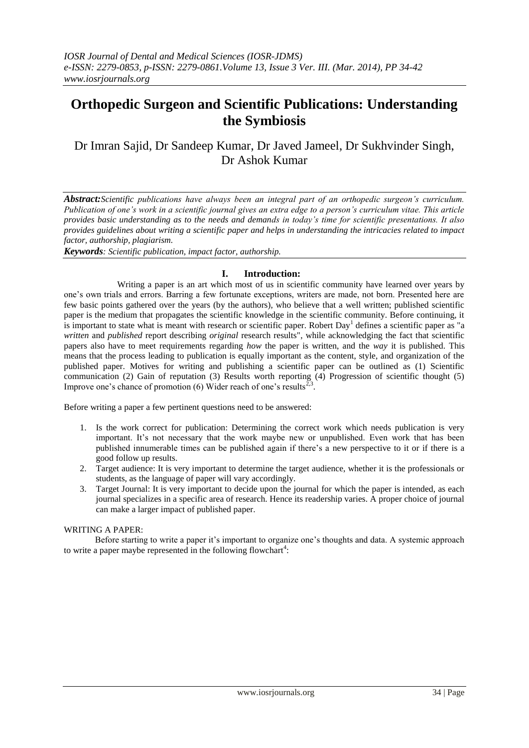# **Orthopedic Surgeon and Scientific Publications: Understanding the Symbiosis**

Dr Imran Sajid, Dr Sandeep Kumar, Dr Javed Jameel, Dr Sukhvinder Singh, Dr Ashok Kumar

*Abstract:Scientific publications have always been an integral part of an orthopedic surgeon's curriculum. Publication of one's work in a scientific journal gives an extra edge to a person's curriculum vitae. This article provides basic understanding as to the needs and demands in today's time for scientific presentations. It also provides guidelines about writing a scientific paper and helps in understanding the intricacies related to impact factor, authorship, plagiarism.* 

*Keywords: Scientific publication, impact factor, authorship.*

## **I. Introduction:**

 Writing a paper is an art which most of us in scientific community have learned over years by one's own trials and errors. Barring a few fortunate exceptions, writers are made, not born. Presented here are few basic points gathered over the years (by the authors), who believe that a well written; published scientific paper is the medium that propagates the scientific knowledge in the scientific community. Before continuing, it is important to state what is meant with research or scientific paper. Robert Day<sup>1</sup> defines a scientific paper as "a *written* and *published* report describing *original* research results", while acknowledging the fact that scientific papers also have to meet requirements regarding *how* the paper is written, and the *way* it is published. This means that the process leading to publication is equally important as the content, style, and organization of the published paper. Motives for writing and publishing a scientific paper can be outlined as (1) Scientific communication (2) Gain of reputation (3) Results worth reporting (4) Progression of scientific thought (5) Improve one's chance of promotion (6) Wider reach of one's results<sup>2</sup> .

Before writing a paper a few pertinent questions need to be answered:

- 1. Is the work correct for publication: Determining the correct work which needs publication is very important. It's not necessary that the work maybe new or unpublished. Even work that has been published innumerable times can be published again if there's a new perspective to it or if there is a good follow up results.
- 2. Target audience: It is very important to determine the target audience, whether it is the professionals or students, as the language of paper will vary accordingly.
- 3. Target Journal: It is very important to decide upon the journal for which the paper is intended, as each journal specializes in a specific area of research. Hence its readership varies. A proper choice of journal can make a larger impact of published paper.

#### WRITING A PAPER:

 Before starting to write a paper it's important to organize one's thoughts and data. A systemic approach to write a paper maybe represented in the following flowchart<sup>4</sup>: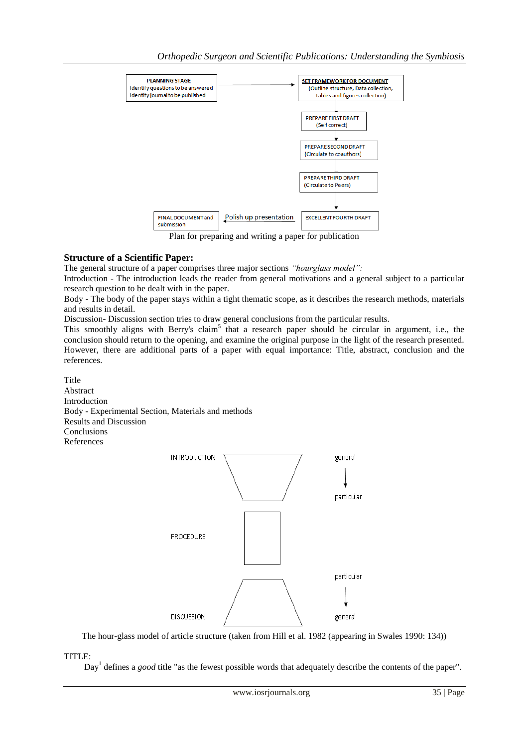

Plan for preparing and writing a paper for publication

# **Structure of a Scientific Paper:**

The general structure of a paper comprises three major sections *"hourglass model":*

Introduction - The introduction leads the reader from general motivations and a general subject to a particular research question to be dealt with in the paper.

Body - The body of the paper stays within a tight thematic scope, as it describes the research methods, materials and results in detail.

Discussion- Discussion section tries to draw general conclusions from the particular results.

This smoothly aligns with Berry's claim<sup>5</sup> that a research paper should be circular in argument, i.e., the conclusion should return to the opening, and examine the original purpose in the light of the research presented. However, there are additional parts of a paper with equal importance: Title, abstract, conclusion and the references.

Title Abstract Introduction Body - Experimental Section, Materials and methods Results and Discussion Conclusions References



The hour-glass model of article structure (taken from Hill et al. 1982 (appearing in Swales 1990: 134))

TITLE:

Day<sup>1</sup> defines a *good* title "as the fewest possible words that adequately describe the contents of the paper".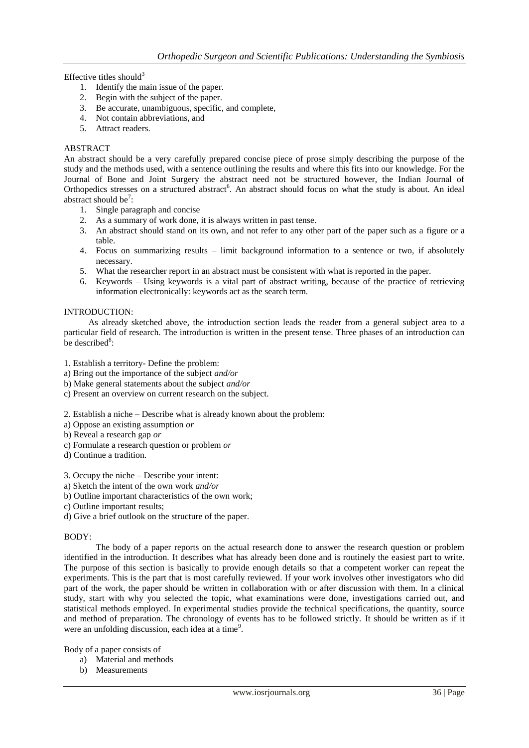Effective titles should $3$ 

- 1. Identify the main issue of the paper.
- 2. Begin with the subject of the paper.
- 3. Be accurate, unambiguous, specific, and complete,
- 4. Not contain abbreviations, and
- 5. Attract readers.

#### ABSTRACT

An abstract should be a very carefully prepared concise piece of prose simply describing the purpose of the study and the methods used, with a sentence outlining the results and where this fits into our knowledge. For the Journal of Bone and Joint Surgery the abstract need not be structured however, the Indian Journal of Orthopedics stresses on a structured abstract<sup>6</sup>. An abstract should focus on what the study is about. An ideal abstract should be<sup>7</sup>:

- 1. Single paragraph and concise
- 2. As a summary of work done, it is always written in past tense.
- 3. An abstract should stand on its own, and not refer to any other part of the paper such as a figure or a table.
- 4. Focus on summarizing results limit background information to a sentence or two, if absolutely necessary.
- 5. What the researcher report in an abstract must be consistent with what is reported in the paper.
- 6. Keywords Using keywords is a vital part of abstract writing, because of the practice of retrieving information electronically: keywords act as the search term.

#### INTRODUCTION:

 As already sketched above, the introduction section leads the reader from a general subject area to a particular field of research. The introduction is written in the present tense. Three phases of an introduction can be described<sup>8</sup>:

- 1. Establish a territory- Define the problem:
- a) Bring out the importance of the subject *and/or*
- b) Make general statements about the subject *and/or*
- c) Present an overview on current research on the subject.

2. Establish a niche – Describe what is already known about the problem:

- a) Oppose an existing assumption *or*
- b) Reveal a research gap *or*
- c) Formulate a research question or problem *or*
- d) Continue a tradition.

3. Occupy the niche – Describe your intent:

- a) Sketch the intent of the own work *and/or*
- b) Outline important characteristics of the own work;
- c) Outline important results;
- d) Give a brief outlook on the structure of the paper.

#### BODY:

The body of a paper reports on the actual research done to answer the research question or problem identified in the introduction. It describes what has already been done and is routinely the easiest part to write. The purpose of this section is basically to provide enough details so that a competent worker can repeat the experiments. This is the part that is most carefully reviewed. If your work involves other investigators who did part of the work, the paper should be written in collaboration with or after discussion with them. In a clinical study, start with why you selected the topic, what examinations were done, investigations carried out, and statistical methods employed. In experimental studies provide the technical specifications, the quantity, source and method of preparation. The chronology of events has to be followed strictly. It should be written as if it were an unfolding discussion, each idea at a time<sup>9</sup>.

Body of a paper consists of

- a) Material and methods
- b) Measurements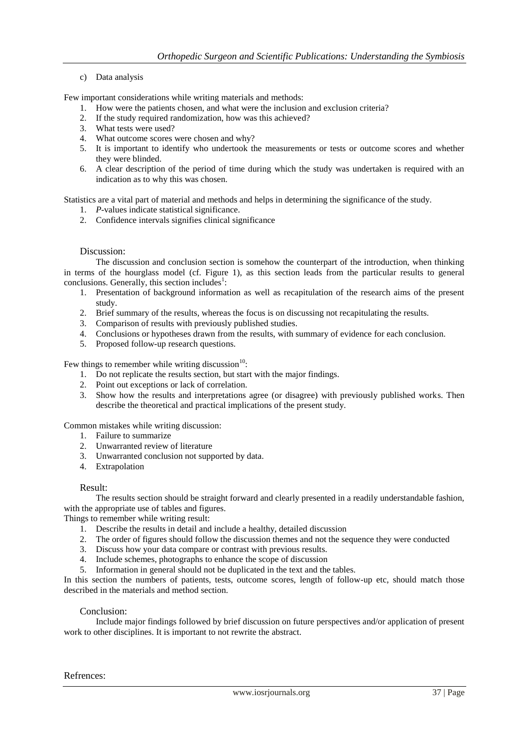## c) Data analysis

Few important considerations while writing materials and methods:

- 1. How were the patients chosen, and what were the inclusion and exclusion criteria?
- 2. If the study required randomization, how was this achieved?
- 3. What tests were used?
- 4. What outcome scores were chosen and why?
- 5. It is important to identify who undertook the measurements or tests or outcome scores and whether they were blinded.
- 6. A clear description of the period of time during which the study was undertaken is required with an indication as to why this was chosen.

Statistics are a vital part of material and methods and helps in determining the significance of the study.

- 1. *P*-values indicate statistical significance.
- 2. Confidence intervals signifies clinical significance

#### Discussion:

The discussion and conclusion section is somehow the counterpart of the introduction, when thinking in terms of the hourglass model (cf. Figure 1), as this section leads from the particular results to general conclusions. Generally, this section includes $\frac{1}{1}$ :

- 1. Presentation of background information as well as recapitulation of the research aims of the present study.
- 2. Brief summary of the results, whereas the focus is on discussing not recapitulating the results.
- 3. Comparison of results with previously published studies.
- 4. Conclusions or hypotheses drawn from the results, with summary of evidence for each conclusion.
- 5. Proposed follow-up research questions.

Few things to remember while writing discussion $10$ :

- 1. Do not replicate the results section, but start with the major findings.
- 2. Point out exceptions or lack of correlation.
- 3. Show how the results and interpretations agree (or disagree) with previously published works. Then describe the theoretical and practical implications of the present study.

Common mistakes while writing discussion:

- 1. Failure to summarize
- 2. Unwarranted review of literature
- 3. Unwarranted conclusion not supported by data.
- 4. Extrapolation

#### Result:

The results section should be straight forward and clearly presented in a readily understandable fashion, with the appropriate use of tables and figures.

Things to remember while writing result:

- 1. Describe the results in detail and include a healthy, detailed discussion
- 2. The order of figures should follow the discussion themes and not the sequence they were conducted
- 3. Discuss how your data compare or contrast with previous results.
- 4. Include schemes, photographs to enhance the scope of discussion
- 5. Information in general should not be duplicated in the text and the tables.

In this section the numbers of patients, tests, outcome scores, length of follow-up etc, should match those described in the materials and method section.

## Conclusion:

Include major findings followed by brief discussion on future perspectives and/or application of present work to other disciplines. It is important to not rewrite the abstract.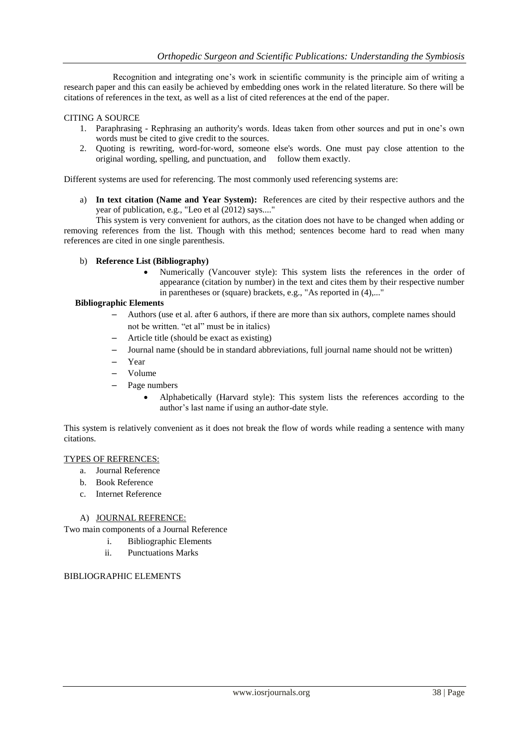Recognition and integrating one's work in scientific community is the principle aim of writing a research paper and this can easily be achieved by embedding ones work in the related literature. So there will be citations of references in the text, as well as a list of cited references at the end of the paper.

## CITING A SOURCE

- 1. Paraphrasing Rephrasing an authority's words. Ideas taken from other sources and put in one's own words must be cited to give credit to the sources.
- 2. Quoting is rewriting, word-for-word, someone else's words. One must pay close attention to the original wording, spelling, and punctuation, and follow them exactly.

Different systems are used for referencing. The most commonly used referencing systems are:

a) **In text citation (Name and Year System):** References are cited by their respective authors and the year of publication, e.g., "Leo et al (2012) says...."

This system is very convenient for authors, as the citation does not have to be changed when adding or removing references from the list. Though with this method; sentences become hard to read when many references are cited in one single parenthesis.

- b) **Reference List (Bibliography)**
	- Numerically (Vancouver style): This system lists the references in the order of appearance (citation by number) in the text and cites them by their respective number in parentheses or (square) brackets, e.g., "As reported in (4),..."

#### **Bibliographic Elements**

- Authors (use et al. after 6 authors, if there are more than six authors, complete names should not be written. "et al" must be in italics)
- Article title (should be exact as existing)
- Journal name (should be in standard abbreviations, full journal name should not be written)
- Year
- Volume
- Page numbers
	- Alphabetically (Harvard style): This system lists the references according to the author's last name if using an author-date style.

This system is relatively convenient as it does not break the flow of words while reading a sentence with many citations.

#### TYPES OF REFRENCES:

- a. Journal Reference
- b. Book Reference
- c. Internet Reference

#### A) JOURNAL REFRENCE:

Two main components of a Journal Reference

- i. Bibliographic Elements
	- ii. Punctuations Marks

#### BIBLIOGRAPHIC ELEMENTS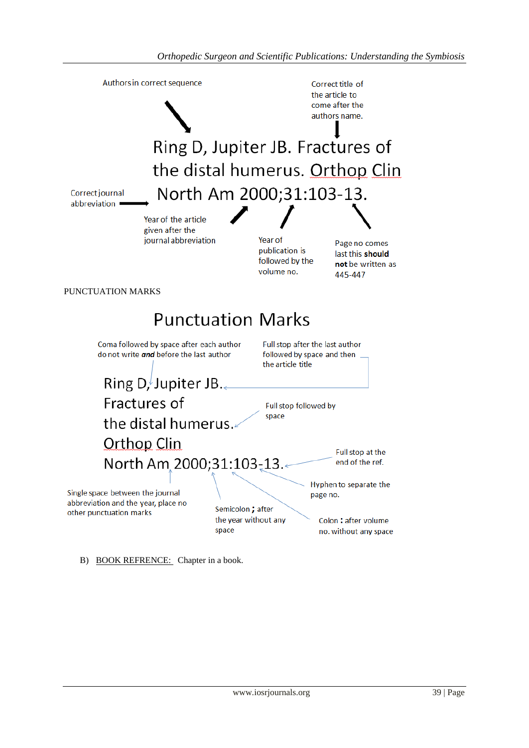

B) BOOK REFRENCE: Chapter in a book.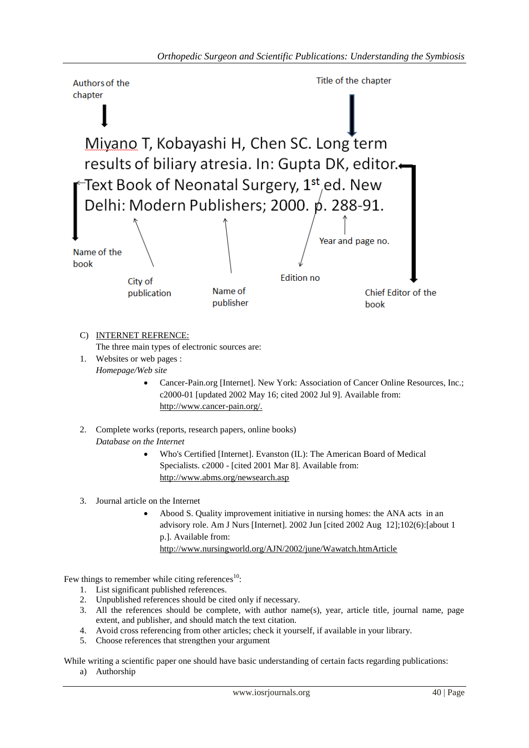

- 3. Journal article on the Internet
	- Abood S. Quality improvement initiative in nursing homes: the ANA acts in an advisory role. Am J Nurs [Internet]. 2002 Jun [cited 2002 Aug 12];102(6):[about 1 p.]. Available from: <http://www.nursingworld.org/AJN/2002/june/Wawatch.htmArticle>

Few things to remember while citing references $^{10}$ :

- 1. List significant published references.
- 2. Unpublished references should be cited only if necessary.
- 3. All the references should be complete, with author name(s), year, article title, journal name, page extent, and publisher, and should match the text citation.
- 4. Avoid cross referencing from other articles; check it yourself, if available in your library.
- 5. Choose references that strengthen your argument

While writing a scientific paper one should have basic understanding of certain facts regarding publications:

a) Authorship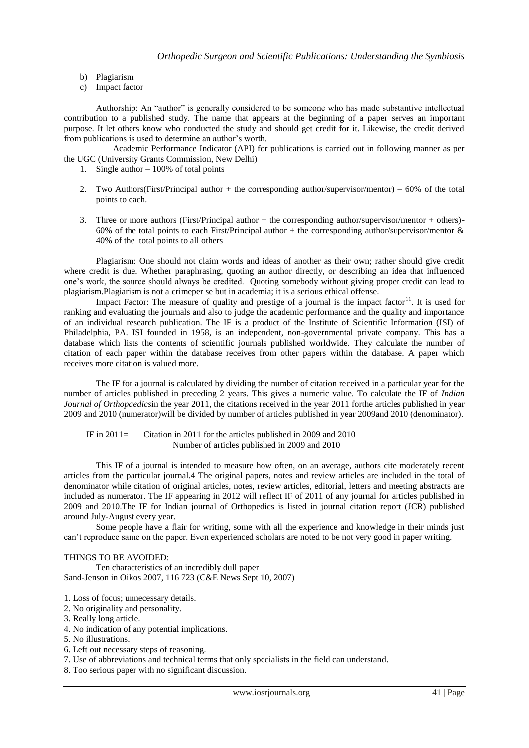- b) Plagiarism
- c) Impact factor

Authorship: An "author" is generally considered to be someone who has made substantive intellectual contribution to a published study. The name that appears at the beginning of a paper serves an important purpose. It let others know who conducted the study and should get credit for it. Likewise, the credit derived from publications is used to determine an author's worth.

 Academic Performance Indicator (API) for publications is carried out in following manner as per the UGC (University Grants Commission, New Delhi)

- 1. Single author 100% of total points
- 2. Two Authors(First/Principal author + the corresponding author/supervisor/mentor) 60% of the total points to each.
- 3. Three or more authors (First/Principal author  $+$  the corresponding author/supervisor/mentor  $+$  others)-60% of the total points to each First/Principal author + the corresponding author/supervisor/mentor  $\&$ 40% of the total points to all others

Plagiarism: One should not claim words and ideas of another as their own; rather should give credit where credit is due. Whether paraphrasing, quoting an author directly, or describing an idea that influenced one's work, the source should always be credited. Quoting somebody without giving proper credit can lead to plagiarism.Plagiarism is not a [crimep](http://en.wikipedia.org/wiki/Crime)er se but in academia; it is a serious [ethical](http://en.wikipedia.org/wiki/Ethics) offense.

Impact Factor: The measure of quality and prestige of a journal is the impact factor<sup>11</sup>. It is used for ranking and evaluating the journals and also to judge the academic performance and the quality and importance of an individual research publication. The IF is a product of the Institute of Scientific Information (ISI) of Philadelphia, PA. ISI founded in 1958, is an independent, non-governmental private company. This has a database which lists the contents of scientific journals published worldwide. They calculate the number of citation of each paper within the database receives from other papers within the database. A paper which receives more citation is valued more.

The IF for a journal is calculated by dividing the number of citation received in a particular year for the number of articles published in preceding 2 years. This gives a numeric value. To calculate the IF of *Indian Journal of Orthopaedics*in the year 2011, the citations received in the year 2011 forthe articles published in year 2009 and 2010 (numerator)will be divided by number of articles published in year 2009and 2010 (denominator).

 IF in 2011= Citation in 2011 for the articles published in 2009 and 2010 Number of articles published in 2009 and 2010

This IF of a journal is intended to measure how often, on an average, authors cite moderately recent articles from the particular journal.4 The original papers, notes and review articles are included in the total of denominator while citation of original articles, notes, review articles, editorial, letters and meeting abstracts are included as numerator. The IF appearing in 2012 will reflect IF of 2011 of any journal for articles published in 2009 and 2010.The IF for Indian journal of Orthopedics is listed in journal citation report (JCR) published around July-August every year.

Some people have a flair for writing, some with all the experience and knowledge in their minds just can't reproduce same on the paper. Even experienced scholars are noted to be not very good in paper writing.

#### THINGS TO BE AVOIDED:

Ten characteristics of an incredibly dull paper Sand-Jenson in Oikos 2007, 116 723 (C&E News Sept 10, 2007)

- 1. Loss of focus; unnecessary details.
- 2. No originality and personality.

- 4. No indication of any potential implications.
- 5. No illustrations.
- 6. Left out necessary steps of reasoning.
- 7. Use of abbreviations and technical terms that only specialists in the field can understand.
- 8. Too serious paper with no significant discussion.

<sup>3.</sup> Really long article.